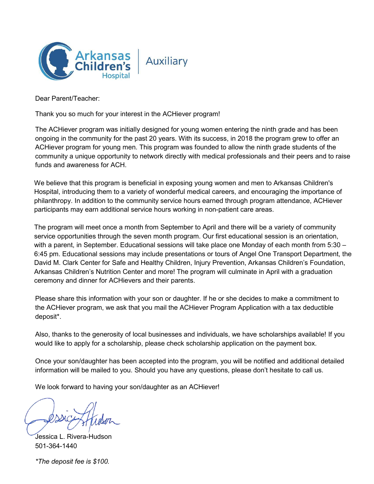

Dear Parent/Teacher:

Thank you so much for your interest in the ACHiever program!

The ACHiever program was initially designed for young women entering the ninth grade and has been ongoing in the community for the past 20 years. With its success, in 2018 the program grew to offer an ACHiever program for young men. This program was founded to allow the ninth grade students of the community a unique opportunity to network directly with medical professionals and their peers and to raise funds and awareness for ACH.

We believe that this program is beneficial in exposing young women and men to Arkansas Children's Hospital, introducing them to a variety of wonderful medical careers, and encouraging the importance of philanthropy. In addition to the community service hours earned through program attendance, ACHiever participants may earn additional service hours working in non-patient care areas.

The program will meet once a month from September to April and there will be a variety of community service opportunities through the seven month program. Our first educational session is an orientation, with a parent, in September. Educational sessions will take place one Monday of each month from 5:30 -6:45 pm. Educational sessions may include presentations or tours of Angel One Transport Department, the David M. Clark Center for Safe and Healthy Children, Injury Prevention, Arkansas Children's Foundation, Arkansas Children's Nutrition Center and more! The program will culminate in April with a graduation ceremony and dinner for ACHievers and their parents.

Please share this information with your son or daughter. If he or she decides to make a commitment to the ACHiever program, we ask that you mail the ACHiever Program Application with a tax deductible deposit\*.

Also, thanks to the generosity of local businesses and individuals, we have scholarships available! If you would like to apply for a scholarship, please check scholarship application on the payment box.

Once your son/daughter has been accepted into the program, you will be notified and additional detailed information will be mailed to you. Should you have any questions, please don't hesitate to call us.

We look forward to having your son/daughter as an ACHiever!

Jessica L. Rivera-Hudson 501-364-1440

*\*The deposit fee is \$100.*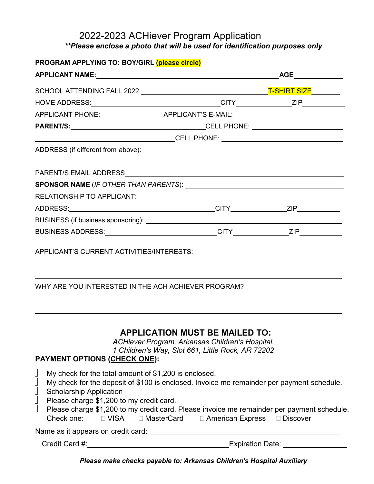## 2022-2023 ACHiever Program Application *\*\*Please enclose a photo that will be used for identification purposes only*

| PROGRAM APPLYING TO: BOY/GIRL (please circle)                                                                                            |                                                                                                                                                                                                                                                                             |
|------------------------------------------------------------------------------------------------------------------------------------------|-----------------------------------------------------------------------------------------------------------------------------------------------------------------------------------------------------------------------------------------------------------------------------|
|                                                                                                                                          |                                                                                                                                                                                                                                                                             |
|                                                                                                                                          |                                                                                                                                                                                                                                                                             |
|                                                                                                                                          |                                                                                                                                                                                                                                                                             |
|                                                                                                                                          | APPLICANT PHONE:__________________________APPLICANT'S E-MAIL: ___________________                                                                                                                                                                                           |
|                                                                                                                                          |                                                                                                                                                                                                                                                                             |
|                                                                                                                                          |                                                                                                                                                                                                                                                                             |
|                                                                                                                                          |                                                                                                                                                                                                                                                                             |
|                                                                                                                                          |                                                                                                                                                                                                                                                                             |
|                                                                                                                                          |                                                                                                                                                                                                                                                                             |
|                                                                                                                                          |                                                                                                                                                                                                                                                                             |
|                                                                                                                                          |                                                                                                                                                                                                                                                                             |
|                                                                                                                                          |                                                                                                                                                                                                                                                                             |
|                                                                                                                                          |                                                                                                                                                                                                                                                                             |
| APPLICANT'S CURRENT ACTIVITIES/INTERESTS:                                                                                                | WHY ARE YOU INTERESTED IN THE ACH ACHIEVER PROGRAM? UNDER ANDEREST AND THE LOCAL THE RESERVE THE MAIN STATE AN                                                                                                                                                              |
| <b>PAYMENT OPTIONS (CHECK ONE):</b>                                                                                                      | <b>APPLICATION MUST BE MAILED TO:</b><br>ACHiever Program, Arkansas Children's Hospital,<br>1 Children's Way, Slot 661, Little Rock, AR 72202                                                                                                                               |
| My check for the total amount of \$1,200 is enclosed.<br>L<br><b>Scholarship Application</b><br>Please charge \$1,200 to my credit card. | My check for the deposit of \$100 is enclosed. Invoice me remainder per payment schedule.<br>Please charge \$1,200 to my credit card. Please invoice me remainder per payment schedule.<br>Check one: $\Box$ VISA $\Box$ MasterCard $\Box$ American Express $\Box$ Discover |
|                                                                                                                                          |                                                                                                                                                                                                                                                                             |
| Credit Card #:                                                                                                                           | <b>Expiration Date:</b>                                                                                                                                                                                                                                                     |

*Please make checks payable to: Arkansas Children's Hospital Auxiliary*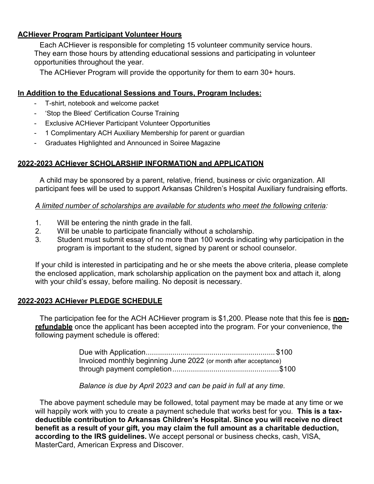## **ACHiever Program Participant Volunteer Hours**

Each ACHiever is responsible for completing 15 volunteer community service hours. They earn those hours by attending educational sessions and participating in volunteer opportunities throughout the year.

The ACHiever Program will provide the opportunity for them to earn 30+ hours.

### **In Addition to the Educational Sessions and Tours, Program Includes:**

- T-shirt, notebook and welcome packet
- 'Stop the Bleed' Certification Course Training
- Exclusive ACHiever Participant Volunteer Opportunities
- 1 Complimentary ACH Auxiliary Membership for parent or guardian
- Graduates Highlighted and Announced in Soiree Magazine

#### **2022-2023 ACHiever SCHOLARSHIP INFORMATION and APPLICATION**

A child may be sponsored by a parent, relative, friend, business or civic organization. All participant fees will be used to support Arkansas Children's Hospital Auxiliary fundraising efforts.

#### *A limited number of scholarships are available for students who meet the following criteria:*

- 1. Will be entering the ninth grade in the fall.
- 2. Will be unable to participate financially without a scholarship.
- 3. Student must submit essay of no more than 100 words indicating why participation in the program is important to the student, signed by parent or school counselor.

If your child is interested in participating and he or she meets the above criteria, please complete the enclosed application, mark scholarship application on the payment box and attach it, along with your child's essay, before mailing. No deposit is necessary.

## **2022-2023 ACHiever PLEDGE SCHEDULE**

The participation fee for the ACH ACHiever program is \$1,200. Please note that this fee is **nonrefundable** once the applicant has been accepted into the program. For your convenience, the following payment schedule is offered:

| Invoiced monthly beginning June 2022 (or month after acceptance) |  |
|------------------------------------------------------------------|--|
|                                                                  |  |

*Balance is due by April 2023 and can be paid in full at any time.*

The above payment schedule may be followed, total payment may be made at any time or we will happily work with you to create a payment schedule that works best for you. **This is a taxdeductible contribution to Arkansas Children's Hospital. Since you will receive no direct benefit as a result of your gift, you may claim the full amount as a charitable deduction, according to the IRS guidelines.** We accept personal or business checks, cash, VISA, MasterCard, American Express and Discover.